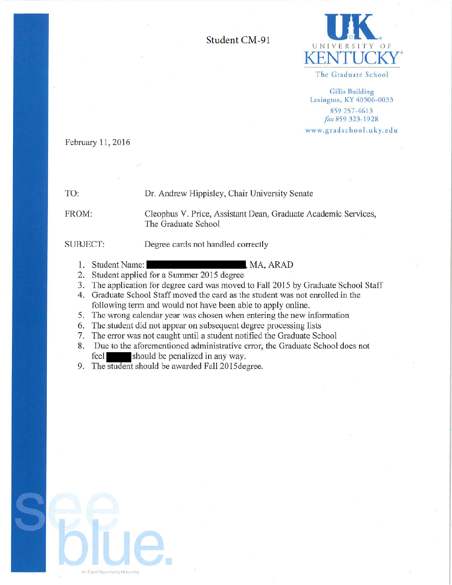Student CM-91



The Graduate School

**Gillis Building** Lexington, KY 40506-0033 859 257-4613 fax 859 323-1928 www.gradschool.uky.edu

February 11, 2016

TO:

Dr. Andrew Hippisley, Chair University Senate

FROM:

Cleophus V. Price, Assistant Dean, Graduate Academic Services, The Graduate School

, MA, ARAD

SUBJECT:

Degree cards not handled correctly

- 1. Student Name:
- 2. Student applied for a Summer 2015 degree
- 3. The application for degree card was moved to Fall 2015 by Graduate School Staff
- 4. Graduate School Staff moved the card as the student was not enrolled in the following term and would not have been able to apply online.
- 5. The wrong calendar year was chosen when entering the new information
- 6. The student did not appear on subsequent degree processing lists
- 7. The error was not caught until a student notified the Graduate School
- 8. Due to the aforementioned administrative error, the Graduate School does not feel should be penalized in any way.

9. The student should be awarded Fall 2015 degree.